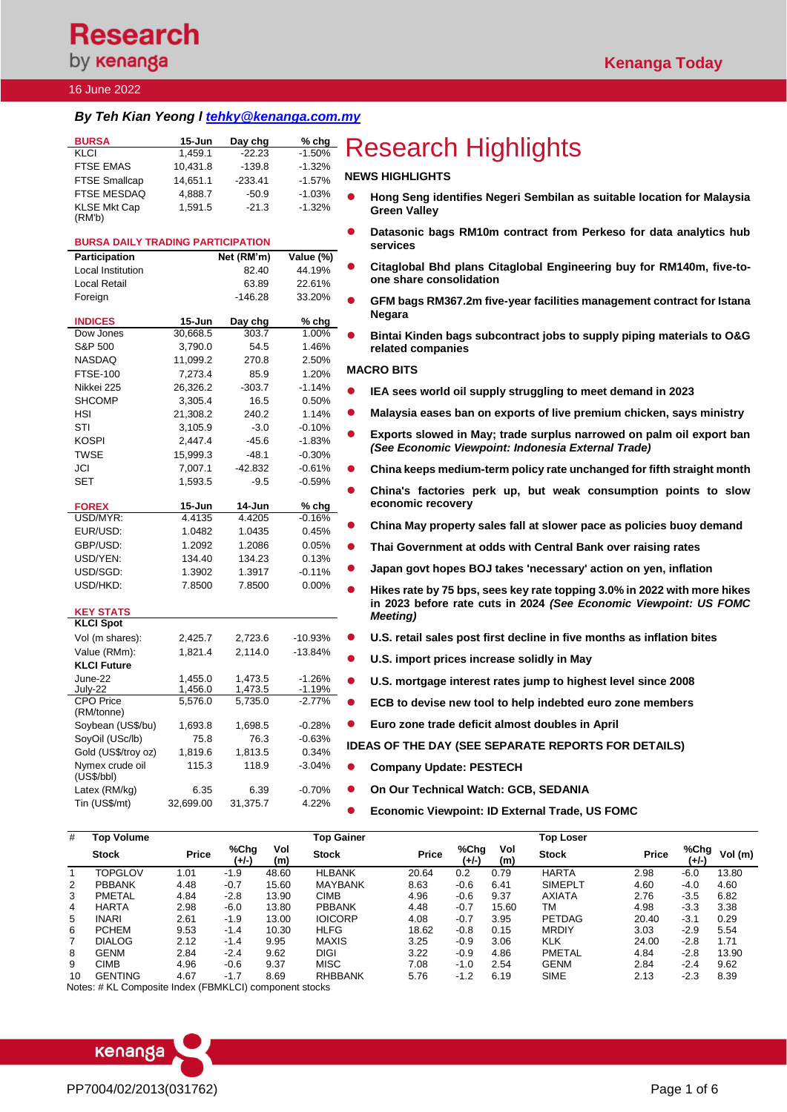### 16 June 2022

### *By Teh Kian Yeong l [tehky@kenanga.com.my](mailto:tehky@kenanga.com.my)*

| <b>BURSA</b>                  | $15 - Jun$ | Day chg   | $%$ chg  |
|-------------------------------|------------|-----------|----------|
| KLCI                          | 1.459.1    | $-22.23$  | $-1.50%$ |
| <b>FTSE EMAS</b>              | 10.431.8   | $-139.8$  | $-1.32%$ |
| <b>FTSE Smallcap</b>          | 14.651.1   | $-233.41$ | $-1.57%$ |
| <b>FTSE MESDAQ</b>            | 4.888.7    | $-50.9$   | $-1.03%$ |
| <b>KLSE Mkt Cap</b><br>(RM'b) | 1.591.5    | $-21.3$   | $-1.32%$ |

### **BURSA DAILY TRADING PARTICIPATION**

| Participation                  |           | Net (RM'm) | Value (%)            |
|--------------------------------|-----------|------------|----------------------|
| <b>Local Institution</b>       |           | 82.40      | 44.19%               |
| Local Retail                   |           | 63.89      | 22.61%               |
| Foreign                        |           | $-146.28$  | 33.20%               |
|                                |           |            |                      |
| <b>INDICES</b>                 | 15-Jun    | Day chg    | % chg                |
| Dow Jones                      | 30,668.5  | 303.7      | 1.00%                |
| S&P 500                        | 3,790.0   | 54.5       | 1.46%                |
| <b>NASDAQ</b>                  | 11,099.2  | 270.8      | 2.50%                |
| <b>FTSE-100</b>                | 7,273.4   | 85.9       | 1.20%                |
| Nikkei 225                     | 26,326.2  | $-303.7$   | $-1.14%$             |
| <b>SHCOMP</b>                  | 3,305.4   | 16.5       | 0.50%                |
| HSI                            | 21,308.2  | 240.2      | 1.14%                |
| STI                            | 3,105.9   | $-3.0$     | $-0.10%$             |
| <b>KOSPI</b>                   | 2.447.4   | $-45.6$    | $-1.83%$             |
| <b>TWSE</b>                    | 15,999.3  | $-48.1$    | $-0.30%$             |
| JCI                            | 7,007.1   | $-42.832$  | $-0.61%$             |
| <b>SET</b>                     | 1,593.5   | $-9.5$     | $-0.59%$             |
|                                |           |            |                      |
| <b>FOREX</b>                   | 15-Jun    | 14-Jun     | % chg                |
| USD/MYR:                       | 4.4135    | 4.4205     | $-0.16%$             |
| EUR/USD:                       | 1.0482    | 1.0435     | 0.45%                |
| GBP/USD:                       | 1.2092    | 1.2086     | 0.05%                |
| USD/YEN:                       | 134.40    | 134.23     | 0.13%                |
| USD/SGD:                       | 1.3902    | 1.3917     | $-0.11%$             |
| USD/HKD:                       | 7.8500    | 7.8500     | 0.00%                |
|                                |           |            |                      |
| <b>KEY STATS</b>               |           |            |                      |
| <b>KLCI Spot</b>               |           |            |                      |
| Vol (m shares):                | 2,425.7   | 2,723.6    | -10.93%              |
| Value (RMm):                   | 1,821.4   | 2,114.0    | $-13.84%$            |
| <b>KLCI Future</b>             |           |            |                      |
| June-22                        | 1.455.0   | 1.473.5    | $-1.26%$             |
| July-22                        | 1,456.0   | 1,473.5    | $-1.19%$<br>$-2.77%$ |
| <b>CPO Price</b><br>(RM/tonne) | 5,576.0   | 5,735.0    |                      |
| Soybean (US\$/bu)              | 1,693.8   | 1,698.5    | $-0.28%$             |
| SoyOil (USc/lb)                | 75.8      | 76.3       | $-0.63%$             |
| Gold (US\$/troy oz)            | 1,819.6   | 1.813.5    | 0.34%                |
| Nymex crude oil                | 115.3     | 118.9      | $-3.04%$             |
| (US\$/bbI)                     |           |            |                      |
| Latex (RM/kg)                  | 6.35      | 6.39       | $-0.70%$             |
| Tin (US\$/mt)                  | 32,699.00 | 31,375.7   | 4.22%                |
|                                |           |            |                      |

# **Research Highlights**

### **NEWS HIGHLIGHTS**

- ⚫ **Hong Seng identifies Negeri Sembilan as suitable location for Malaysia Green Valley**
- ⚫ **Datasonic bags RM10m contract from Perkeso for data analytics hub services**
- ⚫ **Citaglobal Bhd plans Citaglobal Engineering buy for RM140m, five-toone share consolidation**
- ⚫ **GFM bags RM367.2m five-year facilities management contract for Istana Negara**
- ⚫ **Bintai Kinden bags subcontract jobs to supply piping materials to O&G related companies**

#### **MACRO BITS**

- ⚫ **[IEA sees world oil supply struggling to meet demand in 2023](https://www.theedgemarkets.com/article/global-oil-demand-set-rise-2-new-high-2023-says-iea)**
- ⚫ **[Malaysia eases ban on exports of live premium chicken, says ministry](https://www.theedgemarkets.com/article/malaysia-eases-ban-exports-live-premium-chicken-says-ministry)**
- ⚫ **Exports slowed in May; trade surplus narrowed on palm oil export ban**  *(See Economic Viewpoint: Indonesia External Trade)*
- ⚫ **[China keeps medium-term policy rate unchanged for fifth straight month](https://www.theedgemarkets.com/article/china-keeps-mediumterm-policy-rate-unchanged-fifth-straight-month)**
- ⚫ **[China's factories perk up, but weak consumption points to slow](https://www.theedgemarkets.com/article/chinas-factories-perk-weak-consumption-points-slow-economic-recovery)  [economic recovery](https://www.theedgemarkets.com/article/chinas-factories-perk-weak-consumption-points-slow-economic-recovery)**
- ⚫ **[China May property sales fall at slower pace as policies buoy demand](https://www.theedgemarkets.com/article/china-may-property-sales-fall-slower-pace-policies-buoy-demand)**
- ⚫ **[Thai Government at odds with Central Bank over raising rates](https://www.theedgemarkets.com/article/thai-government-odds-central-bank-over-raising-rates)**
- ⚫ **[Japan govt hopes BOJ takes 'necessary' action on yen, inflation](https://www.theedgemarkets.com/article/japan-govt-hopes-boj-takes-necessary-action-yen-inflation)**
- ⚫ **Hikes rate by 75 bps, sees key rate topping 3.0% in 2022 with more hikes in 2023 before rate cuts in 2024** *(See Economic Viewpoint: US FOMC Meeting)*
- ⚫ **[U.S. retail sales post first decline in five months as inflation bites](https://www.reuters.com/markets/us/us-retail-sales-unexpectedly-fall-may-2022-06-15/)**
- ⚫ **[U.S. import prices increase solidly in May](https://www.reuters.com/markets/us/us-import-prices-increase-solidly-may-2022-06-15/)**
- ⚫ **[U.S. mortgage interest rates jump to highest level since 2008](https://www.reuters.com/markets/europe/us-mortgage-interest-rates-jump-highest-level-since-2008-2022-06-15/)**
- ⚫ **[ECB to devise new tool to help indebted euro zone members](https://www.reuters.com/markets/europe/ecb-devise-new-tool-help-indebted-euro-zone-members-2022-06-15/)**
- ⚫ **[Euro zone trade deficit almost doubles in April](https://www.reuters.com/article/eurozone-economy-industrialoutput-trade/euro-zone-trade-deficit-almost-doubles-in-april-idUSKBN2NW0OT)**
- **IDEAS OF THE DAY (SEE SEPARATE REPORTS FOR DETAILS)**
- ⚫ **Company Update: PESTECH**
- ⚫ **On Our Technical Watch: GCB, SEDANIA**
- ⚫ **Economic Viewpoint: ID External Trade, US FOMC**

| #  | <b>Top Volume</b> |              |               |            | Top Gainer     |              |               |            | <b>Top Loser</b> |              |               |         |
|----|-------------------|--------------|---------------|------------|----------------|--------------|---------------|------------|------------------|--------------|---------------|---------|
|    | <b>Stock</b>      | <b>Price</b> | %Chq<br>(+/-) | Vol<br>(m) | <b>Stock</b>   | <b>Price</b> | %Chg<br>(+/-) | Vol<br>(m) | <b>Stock</b>     | <b>Price</b> | %Chg<br>(+/-) | Vol (m) |
|    | <b>TOPGLOV</b>    | 1.01         | $-1.9$        | 48.60      | <b>HLBANK</b>  | 20.64        | 0.2           | 0.79       | <b>HARTA</b>     | 2.98         | $-6.0$        | 13.80   |
| 2  | <b>PBBANK</b>     | 4.48         | $-0.7$        | 15.60      | <b>MAYBANK</b> | 8.63         | $-0.6$        | 6.41       | <b>SIMEPLT</b>   | 4.60         | $-4.0$        | 4.60    |
| 3  | <b>PMETAL</b>     | 4.84         | $-2.8$        | 13.90      | <b>CIMB</b>    | 4.96         | $-0.6$        | 9.37       | <b>AXIATA</b>    | 2.76         | $-3.5$        | 6.82    |
| 4  | <b>HARTA</b>      | 2.98         | $-6.0$        | 13.80      | <b>PBBANK</b>  | 4.48         | $-0.7$        | 15.60      | TM               | 4.98         | $-3.3$        | 3.38    |
| 5  | <b>INARI</b>      | 2.61         | $-1.9$        | 13.00      | <b>IOICORP</b> | 4.08         | $-0.7$        | 3.95       | <b>PETDAG</b>    | 20.40        | $-3.1$        | 0.29    |
| 6  | <b>PCHEM</b>      | 9.53         | $-1.4$        | 10.30      | <b>HLFG</b>    | 18.62        | $-0.8$        | 0.15       | <b>MRDIY</b>     | 3.03         | $-2.9$        | 5.54    |
|    | <b>DIALOG</b>     | 2.12         | $-1.4$        | 9.95       | MAXIS          | 3.25         | $-0.9$        | 3.06       | <b>KLK</b>       | 24.00        | $-2.8$        | 1.71    |
| 8  | <b>GENM</b>       | 2.84         | $-2.4$        | 9.62       | <b>DIGI</b>    | 3.22         | $-0.9$        | 4.86       | <b>PMETAL</b>    | 4.84         | $-2.8$        | 13.90   |
| 9  | CIMB              | 4.96         | $-0.6$        | 9.37       | <b>MISC</b>    | 7.08         | $-1.0$        | 2.54       | <b>GENM</b>      | 2.84         | $-2.4$        | 9.62    |
| 10 | GENTING           | 4.67         | $-1.7$        | 8.69       | <b>RHBBANK</b> | 5.76         | $-1.2$        | 6.19       | <b>SIME</b>      | 2.13         | $-2.3$        | 8.39    |

Notes: # KL Composite Index (FBMKLCI) component stocks

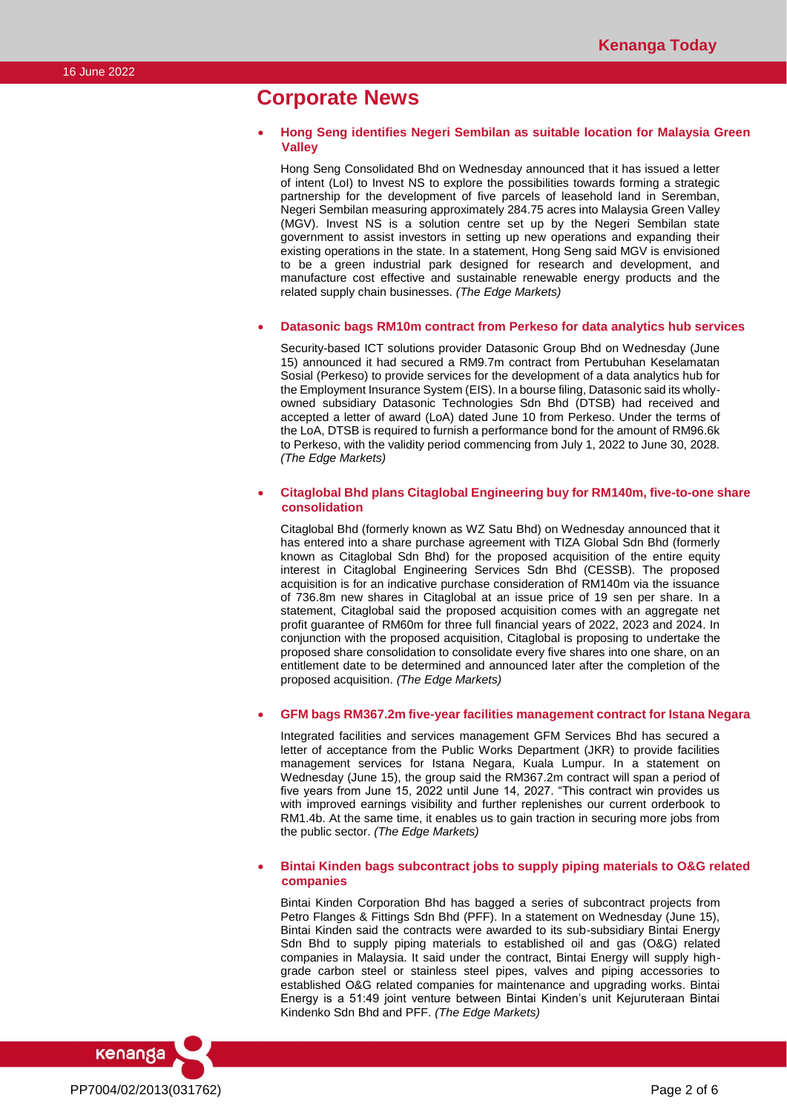## **Corporate News**

#### • **Hong Seng identifies Negeri Sembilan as suitable location for Malaysia Green Valley**

Hong Seng Consolidated Bhd on Wednesday announced that it has issued a letter of intent (LoI) to Invest NS to explore the possibilities towards forming a strategic partnership for the development of five parcels of leasehold land in Seremban, Negeri Sembilan measuring approximately 284.75 acres into Malaysia Green Valley (MGV). Invest NS is a solution centre set up by the Negeri Sembilan state government to assist investors in setting up new operations and expanding their existing operations in the state. In a statement, Hong Seng said MGV is envisioned to be a green industrial park designed for research and development, and manufacture cost effective and sustainable renewable energy products and the related supply chain businesses. *(The Edge Markets)*

#### • **Datasonic bags RM10m contract from Perkeso for data analytics hub services**

Security-based ICT solutions provider Datasonic Group Bhd on Wednesday (June 15) announced it had secured a RM9.7m contract from Pertubuhan Keselamatan Sosial (Perkeso) to provide services for the development of a data analytics hub for the Employment Insurance System (EIS). In a bourse filing, Datasonic said its whollyowned subsidiary Datasonic Technologies Sdn Bhd (DTSB) had received and accepted a letter of award (LoA) dated June 10 from Perkeso. Under the terms of the LoA, DTSB is required to furnish a performance bond for the amount of RM96.6k to Perkeso, with the validity period commencing from July 1, 2022 to June 30, 2028. *(The Edge Markets)*

### • **Citaglobal Bhd plans Citaglobal Engineering buy for RM140m, five-to-one share consolidation**

Citaglobal Bhd (formerly known as WZ Satu Bhd) on Wednesday announced that it has entered into a share purchase agreement with TIZA Global Sdn Bhd (formerly known as Citaglobal Sdn Bhd) for the proposed acquisition of the entire equity interest in Citaglobal Engineering Services Sdn Bhd (CESSB). The proposed acquisition is for an indicative purchase consideration of RM140m via the issuance of 736.8m new shares in Citaglobal at an issue price of 19 sen per share. In a statement, Citaglobal said the proposed acquisition comes with an aggregate net profit guarantee of RM60m for three full financial years of 2022, 2023 and 2024. In conjunction with the proposed acquisition, Citaglobal is proposing to undertake the proposed share consolidation to consolidate every five shares into one share, on an entitlement date to be determined and announced later after the completion of the proposed acquisition. *(The Edge Markets)*

### • **GFM bags RM367.2m five-year facilities management contract for Istana Negara**

Integrated facilities and services management GFM Services Bhd has secured a letter of acceptance from the Public Works Department (JKR) to provide facilities management services for Istana Negara, Kuala Lumpur. In a statement on Wednesday (June 15), the group said the RM367.2m contract will span a period of five years from June 15, 2022 until June 14, 2027. "This contract win provides us with improved earnings visibility and further replenishes our current orderbook to RM1.4b. At the same time, it enables us to gain traction in securing more jobs from the public sector. *(The Edge Markets)*

### • **Bintai Kinden bags subcontract jobs to supply piping materials to O&G related companies**

Bintai Kinden Corporation Bhd has bagged a series of subcontract projects from Petro Flanges & Fittings Sdn Bhd (PFF). In a statement on Wednesday (June 15), Bintai Kinden said the contracts were awarded to its sub-subsidiary Bintai Energy Sdn Bhd to supply piping materials to established oil and gas (O&G) related companies in Malaysia. It said under the contract, Bintai Energy will supply highgrade carbon steel or stainless steel pipes, valves and piping accessories to established O&G related companies for maintenance and upgrading works. Bintai Energy is a 51:49 joint venture between Bintai Kinden's unit Kejuruteraan Bintai Kindenko Sdn Bhd and PFF. *(The Edge Markets)*

kenanga PP7004/02/2013(031762) Page 2 of 6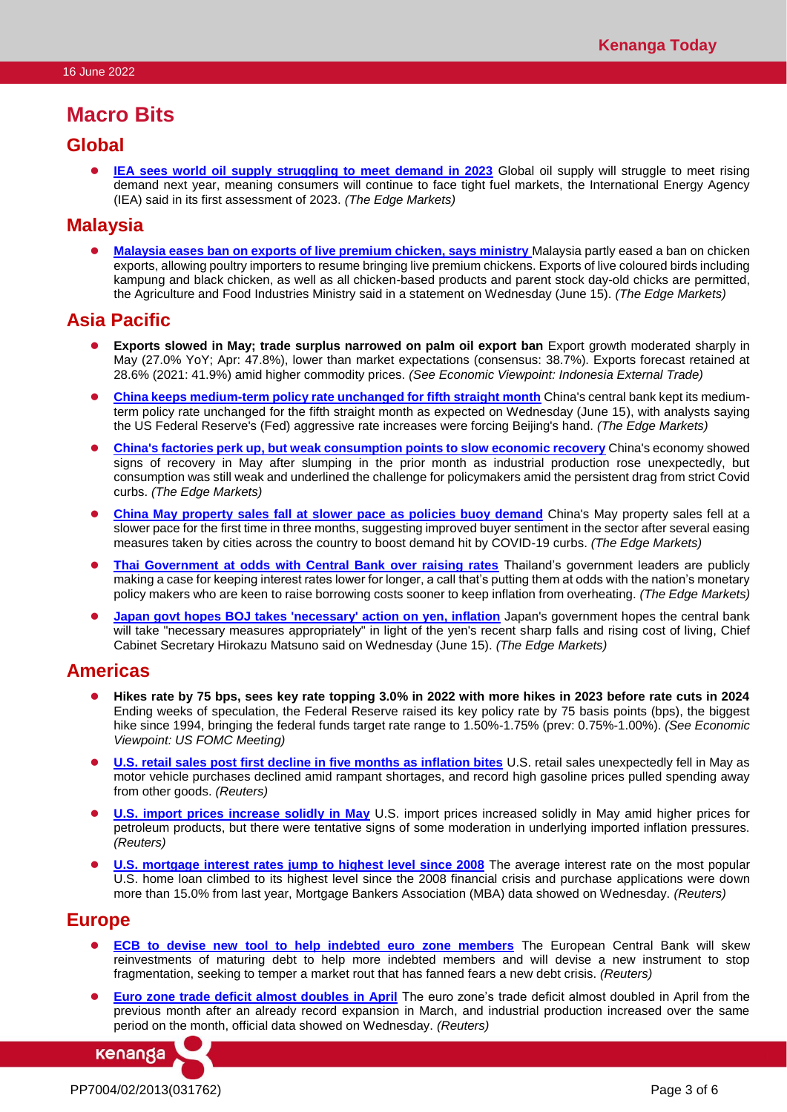## **Macro Bits**

### **Global**

**[IEA sees world oil supply struggling to meet demand in 2023](https://www.theedgemarkets.com/article/global-oil-demand-set-rise-2-new-high-2023-says-iea)** Global oil supply will struggle to meet rising demand next year, meaning consumers will continue to face tight fuel markets, the International Energy Agency (IEA) said in its first assessment of 2023. *(The Edge Markets)*

### **Malaysia**

⚫ **[Malaysia eases ban on exports of live premium chicken, says ministry](https://www.theedgemarkets.com/article/malaysia-eases-ban-exports-live-premium-chicken-says-ministry)** Malaysia partly eased a ban on chicken exports, allowing poultry importers to resume bringing live premium chickens. Exports of live coloured birds including kampung and black chicken, as well as all chicken-based products and parent stock day-old chicks are permitted, the Agriculture and Food Industries Ministry said in a statement on Wednesday (June 15). *(The Edge Markets)*

### **Asia Pacific**

- ⚫ **Exports slowed in May; trade surplus narrowed on palm oil export ban** Export growth moderated sharply in May (27.0% YoY; Apr: 47.8%), lower than market expectations (consensus: 38.7%). Exports forecast retained at 28.6% (2021: 41.9%) amid higher commodity prices. *(See Economic Viewpoint: Indonesia External Trade)*
- ⚫ **[China keeps medium-term policy rate unchanged for fifth straight month](https://www.theedgemarkets.com/article/china-keeps-mediumterm-policy-rate-unchanged-fifth-straight-month)** China's central bank kept its mediumterm policy rate unchanged for the fifth straight month as expected on Wednesday (June 15), with analysts saying the US Federal Reserve's (Fed) aggressive rate increases were forcing Beijing's hand. *(The Edge Markets)*
- ⚫ **[China's factories perk up, but weak consumption points to slow economic recovery](https://www.theedgemarkets.com/article/chinas-factories-perk-weak-consumption-points-slow-economic-recovery)** China's economy showed signs of recovery in May after slumping in the prior month as industrial production rose unexpectedly, but consumption was still weak and underlined the challenge for policymakers amid the persistent drag from strict Covid curbs. *(The Edge Markets)*
- ⚫ **[China May property sales fall at slower pace](https://www.theedgemarkets.com/article/china-may-property-sales-fall-slower-pace-policies-buoy-demand) as policies buoy demand** China's May property sales fell at a slower pace for the first time in three months, suggesting improved buyer sentiment in the sector after several easing measures taken by cities across the country to boost demand hit by COVID-19 curbs. *(The Edge Markets)*
- ⚫ **[Thai Government at odds with Central Bank over raising rates](https://www.theedgemarkets.com/article/thai-government-odds-central-bank-over-raising-rates)** Thailand's government leaders are publicly making a case for keeping interest rates lower for longer, a call that's putting them at odds with the nation's monetary policy makers who are keen to raise borrowing costs sooner to keep inflation from overheating. *(The Edge Markets)*
- ⚫ **[Japan govt hopes BOJ takes 'necessary' action on yen, inflation](https://www.theedgemarkets.com/article/japan-govt-hopes-boj-takes-necessary-action-yen-inflation)** Japan's government hopes the central bank will take "necessary measures appropriately" in light of the yen's recent sharp falls and rising cost of living, Chief Cabinet Secretary Hirokazu Matsuno said on Wednesday (June 15). *(The Edge Markets)*

### **Americas**

- ⚫ **Hikes rate by 75 bps, sees key rate topping 3.0% in 2022 with more hikes in 2023 before rate cuts in 2024**  Ending weeks of speculation, the Federal Reserve raised its key policy rate by 75 basis points (bps), the biggest hike since 1994, bringing the federal funds target rate range to 1.50%-1.75% (prev: 0.75%-1.00%). *(See Economic Viewpoint: US FOMC Meeting)*
- ⚫ **[U.S. retail sales post first decline in five months as inflation bites](https://www.reuters.com/markets/us/us-retail-sales-unexpectedly-fall-may-2022-06-15/)** U.S. retail sales unexpectedly fell in May as motor vehicle purchases declined amid rampant shortages, and record high gasoline prices pulled spending away from other goods. *(Reuters)*
- **[U.S. import prices increase solidly in May](https://www.reuters.com/markets/us/us-import-prices-increase-solidly-may-2022-06-15/)** U.S. import prices increased solidly in May amid higher prices for petroleum products, but there were tentative signs of some moderation in underlying imported inflation pressures. *(Reuters)*
- **[U.S. mortgage interest rates jump to highest level since 2008](https://www.reuters.com/markets/europe/us-mortgage-interest-rates-jump-highest-level-since-2008-2022-06-15/)** The average interest rate on the most popular U.S. home loan climbed to its highest level since the 2008 financial crisis and purchase applications were down more than 15.0% from last year, Mortgage Bankers Association (MBA) data showed on Wednesday. *(Reuters)*

### **Europe**

- ⚫ **[ECB to devise new tool to help indebted euro zone members](https://www.reuters.com/markets/europe/ecb-devise-new-tool-help-indebted-euro-zone-members-2022-06-15/)** The European Central Bank will skew reinvestments of maturing debt to help more indebted members and will devise a new instrument to stop fragmentation, seeking to temper a market rout that has fanned fears a new debt crisis. *(Reuters)*
- ⚫ **[Euro zone trade deficit almost doubles in April](https://www.reuters.com/article/eurozone-economy-industrialoutput-trade/euro-zone-trade-deficit-almost-doubles-in-april-idUSKBN2NW0OT)** The euro zone's trade deficit almost doubled in April from the previous month after an already record expansion in March, and industrial production increased over the same period on the month, official data showed on Wednesday. *(Reuters)*

kenanga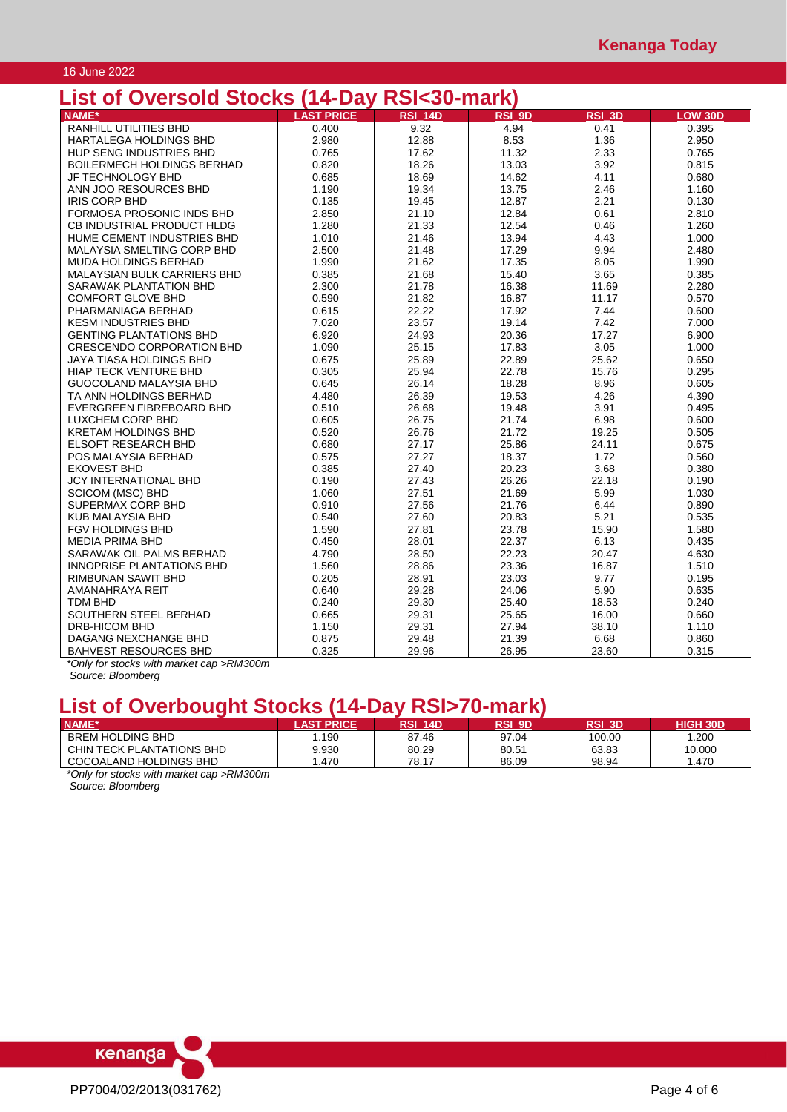### 16 June 2022

## **List of Oversold Stocks (14-Day RSI<30-mark)**

| LIJL VI<br><b>UVULJUIM</b><br><b>OLUUNJ</b> | $1 + D$           | וואווו טטרוטוו |        |               |                |
|---------------------------------------------|-------------------|----------------|--------|---------------|----------------|
| <b>NAME*</b>                                | <b>LAST PRICE</b> | <b>RSI 14D</b> | RSI 9D | <b>RSI 3D</b> | <b>LOW 30D</b> |
| RANHILL UTILITIES BHD                       | 0.400             | 9.32           | 4.94   | 0.41          | 0.395          |
| <b>HARTALEGA HOLDINGS BHD</b>               | 2.980             | 12.88          | 8.53   | 1.36          | 2.950          |
| HUP SENG INDUSTRIES BHD                     | 0.765             | 17.62          | 11.32  | 2.33          | 0.765          |
| <b>BOILERMECH HOLDINGS BERHAD</b>           | 0.820             | 18.26          | 13.03  | 3.92          | 0.815          |
| JF TECHNOLOGY BHD                           | 0.685             | 18.69          | 14.62  | 4.11          | 0.680          |
| ANN JOO RESOURCES BHD                       | 1.190             | 19.34          | 13.75  | 2.46          | 1.160          |
| <b>IRIS CORP BHD</b>                        | 0.135             | 19.45          | 12.87  | 2.21          | 0.130          |
| FORMOSA PROSONIC INDS BHD                   | 2.850             | 21.10          | 12.84  | 0.61          | 2.810          |
| CB INDUSTRIAL PRODUCT HLDG                  | 1.280             | 21.33          | 12.54  | 0.46          | 1.260          |
| HUME CEMENT INDUSTRIES BHD                  | 1.010             | 21.46          | 13.94  | 4.43          | 1.000          |
| MALAYSIA SMELTING CORP BHD                  | 2.500             | 21.48          | 17.29  | 9.94          | 2.480          |
| <b>MUDA HOLDINGS BERHAD</b>                 | 1.990             | 21.62          | 17.35  | 8.05          | 1.990          |
| MALAYSIAN BULK CARRIERS BHD                 | 0.385             | 21.68          | 15.40  | 3.65          | 0.385          |
| SARAWAK PLANTATION BHD                      | 2.300             | 21.78          | 16.38  | 11.69         | 2.280          |
| <b>COMFORT GLOVE BHD</b>                    | 0.590             | 21.82          | 16.87  | 11.17         | 0.570          |
| PHARMANIAGA BERHAD                          | 0.615             | 22.22          | 17.92  | 7.44          | 0.600          |
| <b>KESM INDUSTRIES BHD</b>                  | 7.020             | 23.57          | 19.14  | 7.42          | 7.000          |
| <b>GENTING PLANTATIONS BHD</b>              | 6.920             | 24.93          | 20.36  | 17.27         | 6.900          |
| <b>CRESCENDO CORPORATION BHD</b>            | 1.090             | 25.15          | 17.83  | 3.05          | 1.000          |
| <b>JAYA TIASA HOLDINGS BHD</b>              | 0.675             | 25.89          | 22.89  | 25.62         | 0.650          |
| <b>HIAP TECK VENTURE BHD</b>                | 0.305             | 25.94          | 22.78  | 15.76         | 0.295          |
| GUOCOLAND MALAYSIA BHD                      | 0.645             | 26.14          | 18.28  | 8.96          | 0.605          |
| TA ANN HOLDINGS BERHAD                      | 4.480             | 26.39          | 19.53  | 4.26          | 4.390          |
| EVERGREEN FIBREBOARD BHD                    | 0.510             | 26.68          | 19.48  | 3.91          | 0.495          |
| LUXCHEM CORP BHD                            | 0.605             | 26.75          | 21.74  | 6.98          | 0.600          |
| <b>KRETAM HOLDINGS BHD</b>                  | 0.520             | 26.76          | 21.72  | 19.25         | 0.505          |
| <b>ELSOFT RESEARCH BHD</b>                  | 0.680             | 27.17          | 25.86  | 24.11         | 0.675          |
| POS MALAYSIA BERHAD                         | 0.575             | 27.27          | 18.37  | 1.72          | 0.560          |
| <b>EKOVEST BHD</b>                          | 0.385             | 27.40          | 20.23  | 3.68          | 0.380          |
| JCY INTERNATIONAL BHD                       | 0.190             | 27.43          | 26.26  | 22.18         | 0.190          |
| <b>SCICOM (MSC) BHD</b>                     | 1.060             | 27.51          | 21.69  | 5.99          | 1.030          |
| SUPERMAX CORP BHD                           | 0.910             | 27.56          | 21.76  | 6.44          | 0.890          |
| <b>KUB MALAYSIA BHD</b>                     | 0.540             | 27.60          | 20.83  | 5.21          | 0.535          |
| FGV HOLDINGS BHD                            | 1.590             | 27.81          | 23.78  | 15.90         | 1.580          |
| <b>MEDIA PRIMA BHD</b>                      | 0.450             | 28.01          | 22.37  | 6.13          | 0.435          |
| SARAWAK OIL PALMS BERHAD                    | 4.790             | 28.50          | 22.23  | 20.47         | 4.630          |
| INNOPRISE PLANTATIONS BHD                   | 1.560             | 28.86          | 23.36  | 16.87         | 1.510          |
| <b>RIMBUNAN SAWIT BHD</b>                   | 0.205             | 28.91          | 23.03  | 9.77          | 0.195          |
| AMANAHRAYA REIT                             | 0.640             | 29.28          | 24.06  | 5.90          | 0.635          |
| <b>TDM BHD</b>                              | 0.240             | 29.30          | 25.40  | 18.53         | 0.240          |
| SOUTHERN STEEL BERHAD                       | 0.665             | 29.31          | 25.65  | 16.00         | 0.660          |
| <b>DRB-HICOM BHD</b>                        | 1.150             | 29.31          | 27.94  | 38.10         | 1.110          |
| DAGANG NEXCHANGE BHD                        | 0.875             | 29.48          | 21.39  | 6.68          | 0.860          |
| <b>BAHVEST RESOURCES BHD</b>                | 0.325             | 29.96          | 26.95  | 23.60         | 0.315          |

*\*Only for stocks with market cap >RM300m Source: Bloomberg*

# **List of Overbought Stocks (14-Day RSI>70-mark)**

| <b>NAME*</b>                                         | <b>AST PRICE</b> | จรเ<br><b>14D</b> | RSI 9D | RSI 3D | HIGH 30D |
|------------------------------------------------------|------------------|-------------------|--------|--------|----------|
| BREM HOLDING BHD                                     | .190             | 87.46             | 97.04  | 100.00 | .200     |
| CHIN TECK PLANTATIONS BHD                            | 9.930            | 80.29             | 80.51  | 63.83  | 10.000   |
| COCOALAND HOLDINGS BHD                               | .470             | 78.17             | 86.09  | 98.94  | .470     |
| *Only for stocks with market can $\mathcal{R}$ M300m |                  |                   |        |        |          |

*\*Only for stocks with market cap >RM300m Source: Bloomberg*

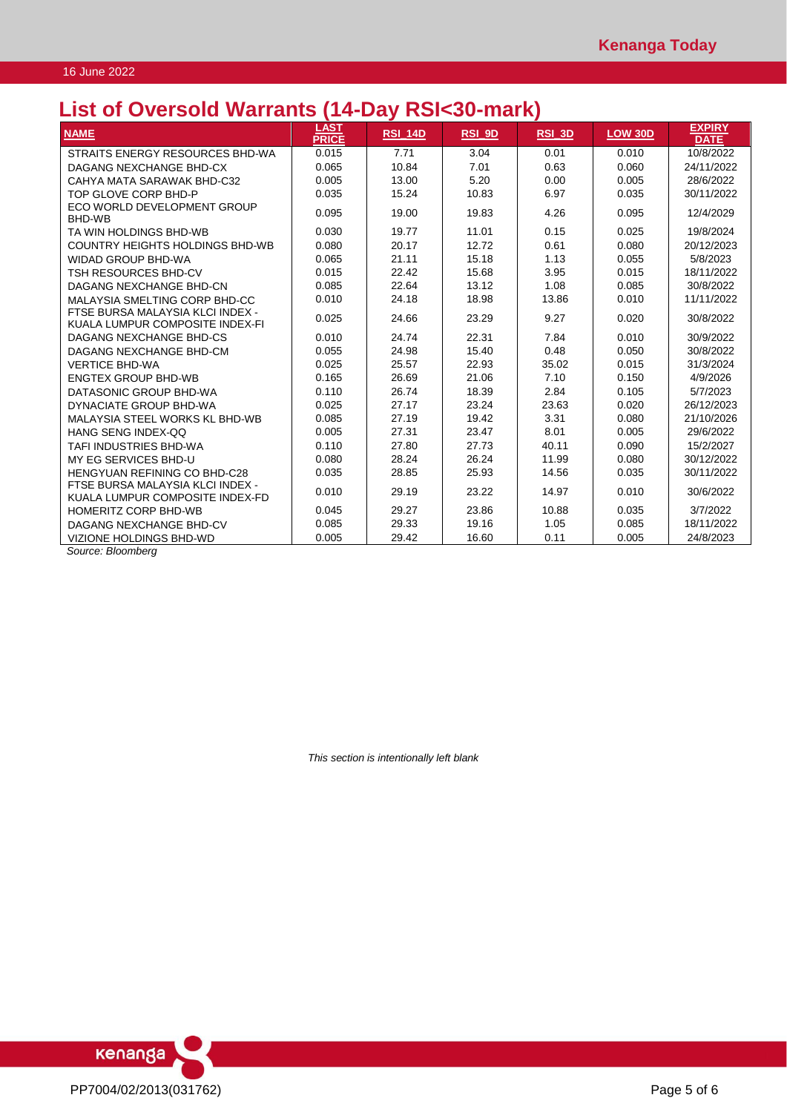## **List of Oversold Warrants (14-Day RSI<30-mark)**

| <b>NAME</b>                                                         | LAST<br><b>PRICE</b> | <b>RSI 14D</b> | RSI_9D | RSI_3D | <b>LOW 30D</b> | <b>EXPIRY</b><br><b>DATE</b> |
|---------------------------------------------------------------------|----------------------|----------------|--------|--------|----------------|------------------------------|
| STRAITS ENERGY RESOURCES BHD-WA                                     | 0.015                | 7.71           | 3.04   | 0.01   | 0.010          | 10/8/2022                    |
| DAGANG NEXCHANGE BHD-CX                                             | 0.065                | 10.84          | 7.01   | 0.63   | 0.060          | 24/11/2022                   |
| CAHYA MATA SARAWAK BHD-C32                                          | 0.005                | 13.00          | 5.20   | 0.00   | 0.005          | 28/6/2022                    |
| TOP GLOVE CORP BHD-P                                                | 0.035                | 15.24          | 10.83  | 6.97   | 0.035          | 30/11/2022                   |
| ECO WORLD DEVELOPMENT GROUP<br>BHD-WB                               | 0.095                | 19.00          | 19.83  | 4.26   | 0.095          | 12/4/2029                    |
| TA WIN HOLDINGS BHD-WB                                              | 0.030                | 19.77          | 11.01  | 0.15   | 0.025          | 19/8/2024                    |
| COUNTRY HEIGHTS HOLDINGS BHD-WB                                     | 0.080                | 20.17          | 12.72  | 0.61   | 0.080          | 20/12/2023                   |
| <b>WIDAD GROUP BHD-WA</b>                                           | 0.065                | 21.11          | 15.18  | 1.13   | 0.055          | 5/8/2023                     |
| TSH RESOURCES BHD-CV                                                | 0.015                | 22.42          | 15.68  | 3.95   | 0.015          | 18/11/2022                   |
| DAGANG NEXCHANGE BHD-CN                                             | 0.085                | 22.64          | 13.12  | 1.08   | 0.085          | 30/8/2022                    |
| MALAYSIA SMELTING CORP BHD-CC                                       | 0.010                | 24.18          | 18.98  | 13.86  | 0.010          | 11/11/2022                   |
| FTSE BURSA MALAYSIA KLCI INDEX -<br>KUALA LUMPUR COMPOSITE INDEX-FI | 0.025                | 24.66          | 23.29  | 9.27   | 0.020          | 30/8/2022                    |
| DAGANG NEXCHANGE BHD-CS                                             | 0.010                | 24.74          | 22.31  | 7.84   | 0.010          | 30/9/2022                    |
| DAGANG NEXCHANGE BHD-CM                                             | 0.055                | 24.98          | 15.40  | 0.48   | 0.050          | 30/8/2022                    |
| <b>VERTICE BHD-WA</b>                                               | 0.025                | 25.57          | 22.93  | 35.02  | 0.015          | 31/3/2024                    |
| <b>ENGTEX GROUP BHD-WB</b>                                          | 0.165                | 26.69          | 21.06  | 7.10   | 0.150          | 4/9/2026                     |
| DATASONIC GROUP BHD-WA                                              | 0.110                | 26.74          | 18.39  | 2.84   | 0.105          | 5/7/2023                     |
| DYNACIATE GROUP BHD-WA                                              | 0.025                | 27.17          | 23.24  | 23.63  | 0.020          | 26/12/2023                   |
| MALAYSIA STEEL WORKS KL BHD-WB                                      | 0.085                | 27.19          | 19.42  | 3.31   | 0.080          | 21/10/2026                   |
| HANG SENG INDEX-QQ                                                  | 0.005                | 27.31          | 23.47  | 8.01   | 0.005          | 29/6/2022                    |
| TAFI INDUSTRIES BHD-WA                                              | 0.110                | 27.80          | 27.73  | 40.11  | 0.090          | 15/2/2027                    |
| MY EG SERVICES BHD-U                                                | 0.080                | 28.24          | 26.24  | 11.99  | 0.080          | 30/12/2022                   |
| HENGYUAN REFINING CO BHD-C28                                        | 0.035                | 28.85          | 25.93  | 14.56  | 0.035          | 30/11/2022                   |
| FTSE BURSA MALAYSIA KLCI INDEX -<br>KUALA LUMPUR COMPOSITE INDEX-FD | 0.010                | 29.19          | 23.22  | 14.97  | 0.010          | 30/6/2022                    |
| <b>HOMERITZ CORP BHD-WB</b>                                         | 0.045                | 29.27          | 23.86  | 10.88  | 0.035          | 3/7/2022                     |
| DAGANG NEXCHANGE BHD-CV                                             | 0.085                | 29.33          | 19.16  | 1.05   | 0.085          | 18/11/2022                   |
| VIZIONE HOLDINGS BHD-WD                                             | 0.005                | 29.42          | 16.60  | 0.11   | 0.005          | 24/8/2023                    |

*Source: Bloomberg*

*This section is intentionally left blank*